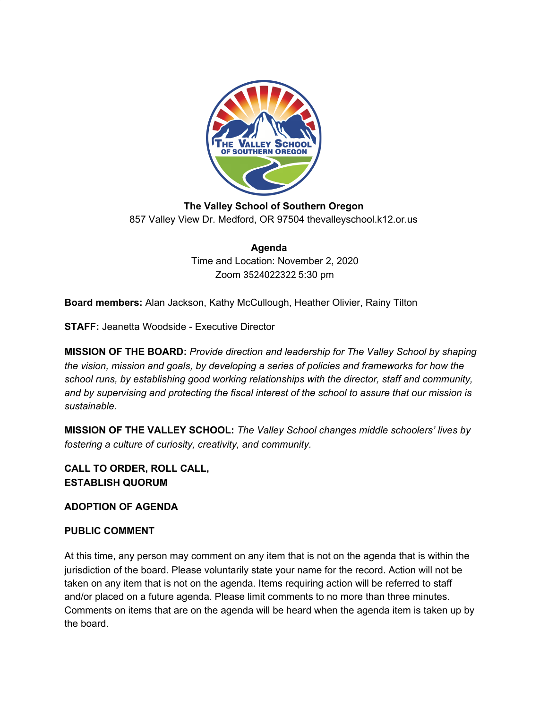

**The Valley School of Southern Oregon** 857 Valley View Dr. Medford, OR 97504 thevalleyschool.k12.or.us

> **Agenda** Time and Location: November 2, 2020 Zoom 3524022322 5:30 pm

**Board members:** Alan Jackson, Kathy McCullough, Heather Olivier, Rainy Tilton

**STAFF:** Jeanetta Woodside - Executive Director

**MISSION OF THE BOARD:** *Provide direction and leadership for The Valley School by shaping the vision, mission and goals, by developing a series of policies and frameworks for how the school runs, by establishing good working relationships with the director, staff and community, and by supervising and protecting the fiscal interest of the school to assure that our mission is sustainable.*

**MISSION OF THE VALLEY SCHOOL:** *The Valley School changes middle schoolers' lives by fostering a culture of curiosity, creativity, and community.*

**CALL TO ORDER, ROLL CALL, ESTABLISH QUORUM**

**ADOPTION OF AGENDA**

# **PUBLIC COMMENT**

At this time, any person may comment on any item that is not on the agenda that is within the jurisdiction of the board. Please voluntarily state your name for the record. Action will not be taken on any item that is not on the agenda. Items requiring action will be referred to staff and/or placed on a future agenda. Please limit comments to no more than three minutes. Comments on items that are on the agenda will be heard when the agenda item is taken up by the board.